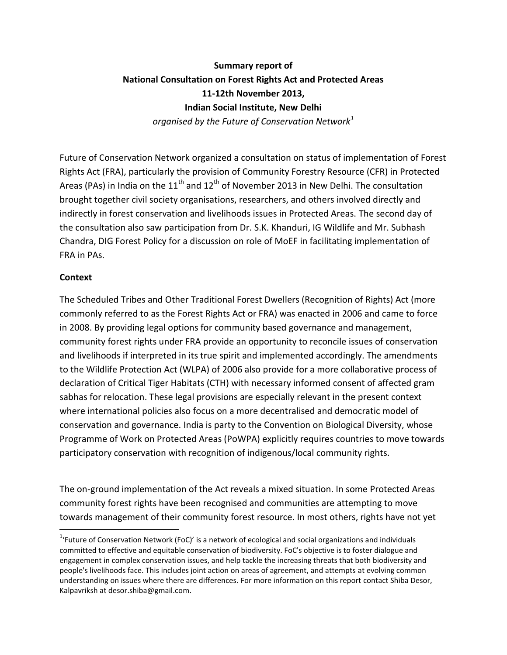# **Summary report of National Consultation on Forest Rights Act and Protected Areas 11-12th November 2013, Indian Social Institute, New Delhi**

*organised by the Future of Conservation Network<sup>1</sup>*

Future of Conservation Network organized a consultation on status of implementation of Forest Rights Act (FRA), particularly the provision of Community Forestry Resource (CFR) in Protected Areas (PAs) in India on the  $11<sup>th</sup>$  and  $12<sup>th</sup>$  of November 2013 in New Delhi. The consultation brought together civil society organisations, researchers, and others involved directly and indirectly in forest conservation and livelihoods issues in Protected Areas. The second day of the consultation also saw participation from Dr. S.K. Khanduri, IG Wildlife and Mr. Subhash Chandra, DIG Forest Policy for a discussion on role of MoEF in facilitating implementation of FRA in PAs.

### **Context**

 $\overline{\phantom{a}}$ 

The Scheduled Tribes and Other Traditional Forest Dwellers (Recognition of Rights) Act (more commonly referred to as the Forest Rights Act or FRA) was enacted in 2006 and came to force in 2008. By providing legal options for community based governance and management, community forest rights under FRA provide an opportunity to reconcile issues of conservation and livelihoods if interpreted in its true spirit and implemented accordingly. The amendments to the Wildlife Protection Act (WLPA) of 2006 also provide for a more collaborative process of declaration of Critical Tiger Habitats (CTH) with necessary informed consent of affected gram sabhas for relocation. These legal provisions are especially relevant in the present context where international policies also focus on a more decentralised and democratic model of conservation and governance. India is party to the Convention on Biological Diversity, whose Programme of Work on Protected Areas (PoWPA) explicitly requires countries to move towards participatory conservation with recognition of indigenous/local community rights.

The on-ground implementation of the Act reveals a mixed situation. In some Protected Areas community forest rights have been recognised and communities are attempting to move towards management of their community forest resource. In most others, rights have not yet

<sup>&</sup>lt;sup>1</sup>'Future of Conservation Network (FoC)' is a network of ecological and social organizations and individuals committed to effective and equitable conservation of biodiversity. FoC's objective is to foster dialogue and engagement in complex conservation issues, and help tackle the increasing threats that both biodiversity and people's livelihoods face. This includes joint action on areas of agreement, and attempts at evolving common understanding on issues where there are differences. For more information on this report contact Shiba Desor, Kalpavriksh at desor.shiba@gmail.com.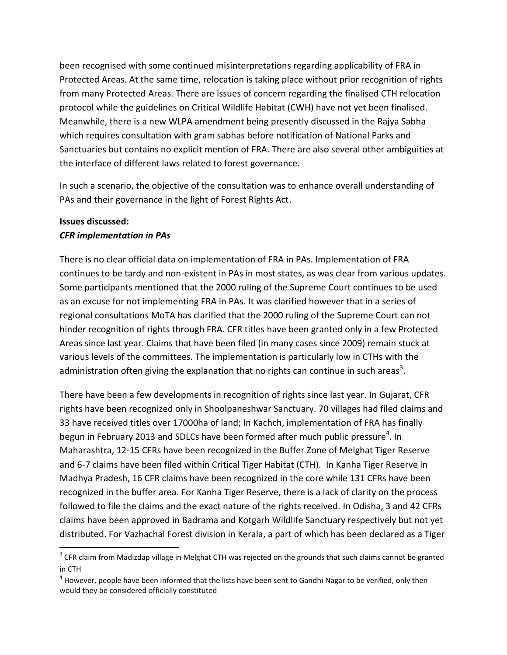been recognised with some continued misinterpretations regarding applicability of FRA in Protected Areas. At the same time, relocation is taking place without prior recognition of rights from many Protected Areas. There are issues of concern regarding the finalised CTH relocation protocol while the guidelines on Critical Wildlife Habitat (CWH) have not yet been finalised. Meanwhile, there is a new WLPA amendment being presently discussed in the Rajya Sabha which requires consultation with gram sabhas before notification of National Parks and Sanctuaries but contains no explicit mention of FRA. There are also several other ambiguities at the interface of different laws related to forest governance.

In such a scenario, the objective of the consultation was to enhance overall understanding of PAs and their governance in the light of Forest Rights Act.

#### **Issues discussed:**

 $\overline{\phantom{a}}$ 

### *CFR implementation in PAs*

There is no clear official data on implementation of FRA in PAs. Implementation of FRA continues to be tardy and non-existent in PAs in most states, as was clear from various updates. Some participants mentioned that the 2000 ruling of the Supreme Court continues to be used as an excuse for not implementing FRA in PAs. It was clarified however that in a series of regional consultations MoTA has clarified that the 2000 ruling of the Supreme Court can not hinder recognition of rights through FRA. CFR titles have been granted only in a few Protected Areas since last year. Claims that have been filed (in many cases since 2009) remain stuck at various levels of the committees. The implementation is particularly low in CTHs with the administration often giving the explanation that no rights can continue in such areas<sup>3</sup>.

There have been a few developments in recognition of rights since last year. In Gujarat, CFR rights have been recognized only in Shoolpaneshwar Sanctuary. 70 villages had filed claims and 33 have received titles over 17000ha of land; In Kachch, implementation of FRA has finally begun in February 2013 and SDLCs have been formed after much public pressure<sup>4</sup>. In Maharashtra, 12-15 CFRs have been recognized in the Buffer Zone of Melghat Tiger Reserve and 6-7 claims have been filed within Critical Tiger Habitat (CTH). In Kanha Tiger Reserve in Madhya Pradesh, 16 CFR claims have been recognized in the core while 131 CFRs have been recognized in the buffer area. For Kanha Tiger Reserve, there is a lack of clarity on the process followed to file the claims and the exact nature of the rights received. In Odisha, 3 and 42 CFRs claims have been approved in Badrama and Kotgarh Wildlife Sanctuary respectively but not yet distributed. For Vazhachal Forest division in Kerala, a part of which has been declared as a Tiger

 $3$  CFR claim from Madizdap village in Melghat CTH was rejected on the grounds that such claims cannot be granted in CTH

 $^4$  However, people have been informed that the lists have been sent to Gandhi Nagar to be verified, only then would they be considered officially constituted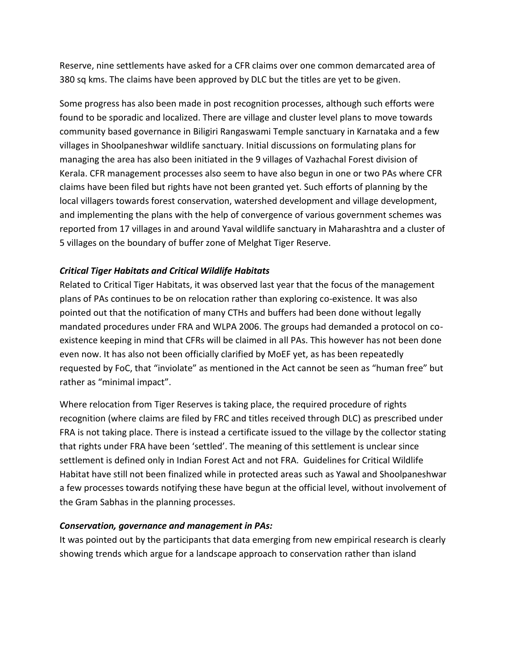Reserve, nine settlements have asked for a CFR claims over one common demarcated area of 380 sq kms. The claims have been approved by DLC but the titles are yet to be given.

Some progress has also been made in post recognition processes, although such efforts were found to be sporadic and localized. There are village and cluster level plans to move towards community based governance in Biligiri Rangaswami Temple sanctuary in Karnataka and a few villages in Shoolpaneshwar wildlife sanctuary. Initial discussions on formulating plans for managing the area has also been initiated in the 9 villages of Vazhachal Forest division of Kerala. CFR management processes also seem to have also begun in one or two PAs where CFR claims have been filed but rights have not been granted yet. Such efforts of planning by the local villagers towards forest conservation, watershed development and village development, and implementing the plans with the help of convergence of various government schemes was reported from 17 villages in and around Yaval wildlife sanctuary in Maharashtra and a cluster of 5 villages on the boundary of buffer zone of Melghat Tiger Reserve.

## *Critical Tiger Habitats and Critical Wildlife Habitats*

Related to Critical Tiger Habitats, it was observed last year that the focus of the management plans of PAs continues to be on relocation rather than exploring co-existence. It was also pointed out that the notification of many CTHs and buffers had been done without legally mandated procedures under FRA and WLPA 2006. The groups had demanded a protocol on coexistence keeping in mind that CFRs will be claimed in all PAs. This however has not been done even now. It has also not been officially clarified by MoEF yet, as has been repeatedly requested by FoC, that "inviolate" as mentioned in the Act cannot be seen as "human free" but rather as "minimal impact".

Where relocation from Tiger Reserves is taking place, the required procedure of rights recognition (where claims are filed by FRC and titles received through DLC) as prescribed under FRA is not taking place. There is instead a certificate issued to the village by the collector stating that rights under FRA have been 'settled'. The meaning of this settlement is unclear since settlement is defined only in Indian Forest Act and not FRA. Guidelines for Critical Wildlife Habitat have still not been finalized while in protected areas such as Yawal and Shoolpaneshwar a few processes towards notifying these have begun at the official level, without involvement of the Gram Sabhas in the planning processes.

#### *Conservation, governance and management in PAs:*

It was pointed out by the participants that data emerging from new empirical research is clearly showing trends which argue for a landscape approach to conservation rather than island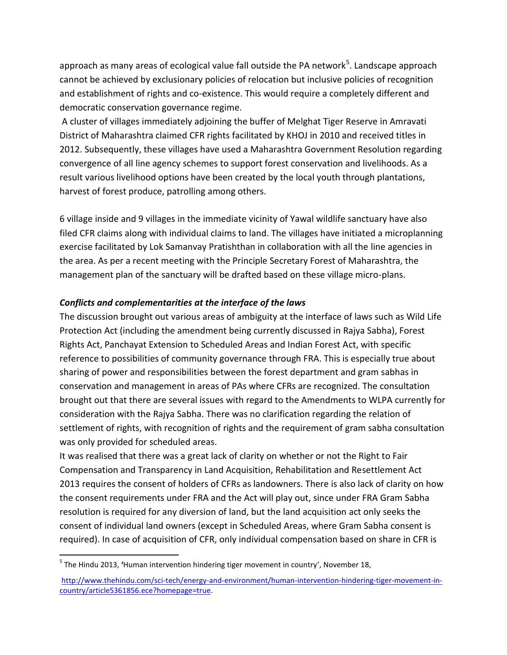approach as many areas of ecological value fall outside the PA network<sup>5</sup>. Landscape approach cannot be achieved by exclusionary policies of relocation but inclusive policies of recognition and establishment of rights and co-existence. This would require a completely different and democratic conservation governance regime.

A cluster of villages immediately adjoining the buffer of Melghat Tiger Reserve in Amravati District of Maharashtra claimed CFR rights facilitated by KHOJ in 2010 and received titles in 2012. Subsequently, these villages have used a Maharashtra Government Resolution regarding convergence of all line agency schemes to support forest conservation and livelihoods. As a result various livelihood options have been created by the local youth through plantations, harvest of forest produce, patrolling among others.

6 village inside and 9 villages in the immediate vicinity of Yawal wildlife sanctuary have also filed CFR claims along with individual claims to land. The villages have initiated a microplanning exercise facilitated by Lok Samanvay Pratishthan in collaboration with all the line agencies in the area. As per a recent meeting with the Principle Secretary Forest of Maharashtra, the management plan of the sanctuary will be drafted based on these village micro-plans.

## *Conflicts and complementarities at the interface of the laws*

The discussion brought out various areas of ambiguity at the interface of laws such as Wild Life Protection Act (including the amendment being currently discussed in Rajya Sabha), Forest Rights Act, Panchayat Extension to Scheduled Areas and Indian Forest Act, with specific reference to possibilities of community governance through FRA. This is especially true about sharing of power and responsibilities between the forest department and gram sabhas in conservation and management in areas of PAs where CFRs are recognized. The consultation brought out that there are several issues with regard to the Amendments to WLPA currently for consideration with the Rajya Sabha. There was no clarification regarding the relation of settlement of rights, with recognition of rights and the requirement of gram sabha consultation was only provided for scheduled areas.

It was realised that there was a great lack of clarity on whether or not the Right to Fair Compensation and Transparency in Land Acquisition, Rehabilitation and Resettlement Act 2013 requires the consent of holders of CFRs as landowners. There is also lack of clarity on how the consent requirements under FRA and the Act will play out, since under FRA Gram Sabha resolution is required for any diversion of land, but the land acquisition act only seeks the consent of individual land owners (except in Scheduled Areas, where Gram Sabha consent is required). In case of acquisition of CFR, only individual compensation based on share in CFR is

 $\overline{\phantom{a}}$ 

<sup>5</sup> The Hindu 2013, **'**Human intervention hindering tiger movement in country', November 18,

[http://www.thehindu.com/sci-tech/energy-and-environment/human-intervention-hindering-tiger-movement-in](http://www.thehindu.com/sci-tech/energy-and-environment/human-intervention-hindering-tiger-movement-in-country/article5361856.ece?homepage=true)[country/article5361856.ece?homepage=true.](http://www.thehindu.com/sci-tech/energy-and-environment/human-intervention-hindering-tiger-movement-in-country/article5361856.ece?homepage=true)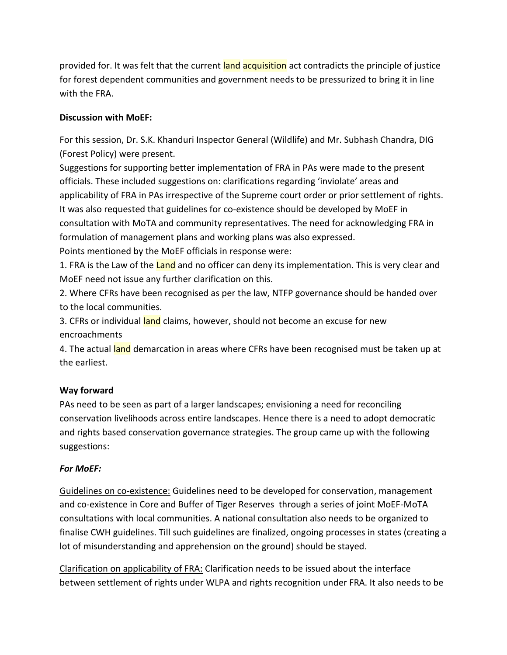provided for. It was felt that the current land acquisition act contradicts the principle of justice for forest dependent communities and government needs to be pressurized to bring it in line with the FRA.

# **Discussion with MoEF:**

For this session, Dr. S.K. Khanduri Inspector General (Wildlife) and Mr. Subhash Chandra, DIG (Forest Policy) were present.

Suggestions for supporting better implementation of FRA in PAs were made to the present officials. These included suggestions on: clarifications regarding 'inviolate' areas and applicability of FRA in PAs irrespective of the Supreme court order or prior settlement of rights. It was also requested that guidelines for co-existence should be developed by MoEF in consultation with MoTA and community representatives. The need for acknowledging FRA in formulation of management plans and working plans was also expressed. Points mentioned by the MoEF officials in response were:

1. FRA is the Law of the Land and no officer can deny its implementation. This is very clear and MoEF need not issue any further clarification on this.

2. Where CFRs have been recognised as per the law, NTFP governance should be handed over to the local communities.

3. CFRs or individual land claims, however, should not become an excuse for new encroachments

4. The actual land demarcation in areas where CFRs have been recognised must be taken up at the earliest.

## **Way forward**

PAs need to be seen as part of a larger landscapes; envisioning a need for reconciling conservation livelihoods across entire landscapes. Hence there is a need to adopt democratic and rights based conservation governance strategies. The group came up with the following suggestions:

## *For MoEF:*

Guidelines on co-existence: Guidelines need to be developed for conservation, management and co-existence in Core and Buffer of Tiger Reserves through a series of joint MoEF-MoTA consultations with local communities. A national consultation also needs to be organized to finalise CWH guidelines. Till such guidelines are finalized, ongoing processes in states (creating a lot of misunderstanding and apprehension on the ground) should be stayed.

Clarification on applicability of FRA: Clarification needs to be issued about the interface between settlement of rights under WLPA and rights recognition under FRA. It also needs to be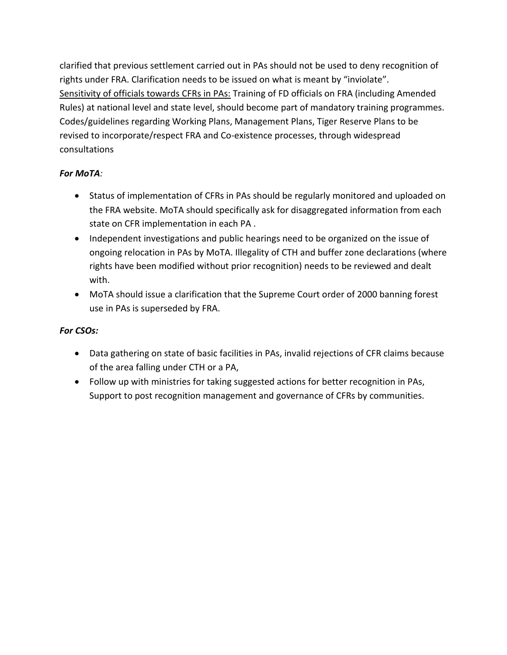clarified that previous settlement carried out in PAs should not be used to deny recognition of rights under FRA. Clarification needs to be issued on what is meant by "inviolate". Sensitivity of officials towards CFRs in PAs: Training of FD officials on FRA (including Amended Rules) at national level and state level, should become part of mandatory training programmes. Codes/guidelines regarding Working Plans, Management Plans, Tiger Reserve Plans to be revised to incorporate/respect FRA and Co-existence processes, through widespread consultations

## *For MoTA:*

- Status of implementation of CFRs in PAs should be regularly monitored and uploaded on the FRA website. MoTA should specifically ask for disaggregated information from each state on CFR implementation in each PA .
- Independent investigations and public hearings need to be organized on the issue of ongoing relocation in PAs by MoTA. Illegality of CTH and buffer zone declarations (where rights have been modified without prior recognition) needs to be reviewed and dealt with.
- MoTA should issue a clarification that the Supreme Court order of 2000 banning forest use in PAs is superseded by FRA.

# *For CSOs:*

- Data gathering on state of basic facilities in PAs, invalid rejections of CFR claims because of the area falling under CTH or a PA,
- Follow up with ministries for taking suggested actions for better recognition in PAs, Support to post recognition management and governance of CFRs by communities.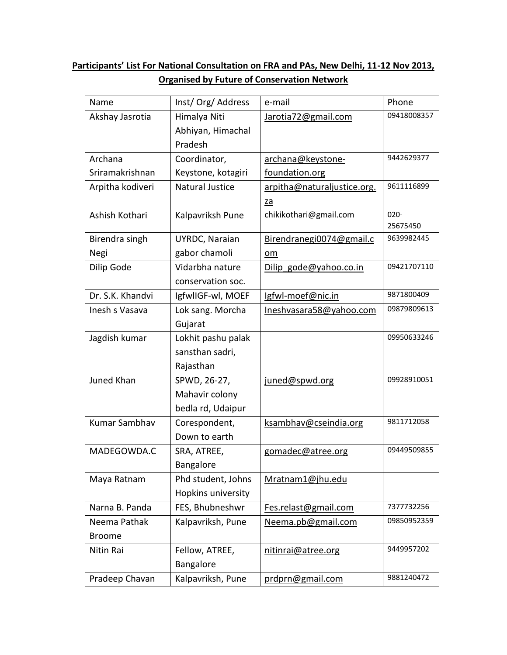# **Participants' List For National Consultation on FRA and PAs, New Delhi, 11-12 Nov 2013, Organised by Future of Conservation Network**

| Name                 | Inst/Org/Address       | e-mail                      | Phone       |
|----------------------|------------------------|-----------------------------|-------------|
| Akshay Jasrotia      | Himalya Niti           | Jarotia72@gmail.com         | 09418008357 |
|                      | Abhiyan, Himachal      |                             |             |
|                      | Pradesh                |                             |             |
| Archana              | Coordinator,           | archana@keystone-           | 9442629377  |
| Sriramakrishnan      | Keystone, kotagiri     | foundation.org              |             |
| Arpitha kodiveri     | <b>Natural Justice</b> | arpitha@naturaljustice.org. | 9611116899  |
|                      |                        | za                          |             |
| Ashish Kothari       | Kalpavriksh Pune       | chikikothari@gmail.com      | $020 -$     |
|                      |                        |                             | 25675450    |
| Birendra singh       | UYRDC, Naraian         | Birendranegi0074@gmail.c    | 9639982445  |
| Negi                 | gabor chamoli          | $om$                        |             |
| Dilip Gode           | Vidarbha nature        | Dilip gode@yahoo.co.in      | 09421707110 |
|                      | conservation soc.      |                             |             |
| Dr. S.K. Khandvi     | IgfwlIGF-wl, MOEF      | Igfwl-moef@nic.in           | 9871800409  |
| Inesh s Vasava       | Lok sang. Morcha       | Ineshvasara58@yahoo.com     | 09879809613 |
|                      | Gujarat                |                             |             |
| Jagdish kumar        | Lokhit pashu palak     |                             | 09950633246 |
|                      | sansthan sadri,        |                             |             |
|                      | Rajasthan              |                             |             |
| Juned Khan           | SPWD, 26-27,           | juned@spwd.org              | 09928910051 |
|                      | Mahavir colony         |                             |             |
|                      | bedla rd, Udaipur      |                             |             |
| <b>Kumar Sambhav</b> | Corespondent,          | ksambhav@cseindia.org       | 9811712058  |
|                      | Down to earth          |                             |             |
| MADEGOWDA.C          | SRA, ATREE,            | gomadec@atree.org           | 09449509855 |
|                      | Bangalore              |                             |             |
| Maya Ratnam          | Phd student, Johns     | Mratnam1@jhu.edu            |             |
|                      | Hopkins university     |                             |             |
| Narna B. Panda       | FES, Bhubneshwr        | Fes.relast@gmail.com        | 7377732256  |
| Neema Pathak         | Kalpavriksh, Pune      | Neema.pb@gmail.com          | 09850952359 |
| <b>Broome</b>        |                        |                             |             |
| Nitin Rai            | Fellow, ATREE,         | nitinrai@atree.org          | 9449957202  |
|                      | Bangalore              |                             |             |
| Pradeep Chavan       | Kalpavriksh, Pune      | prdprn@gmail.com            | 9881240472  |